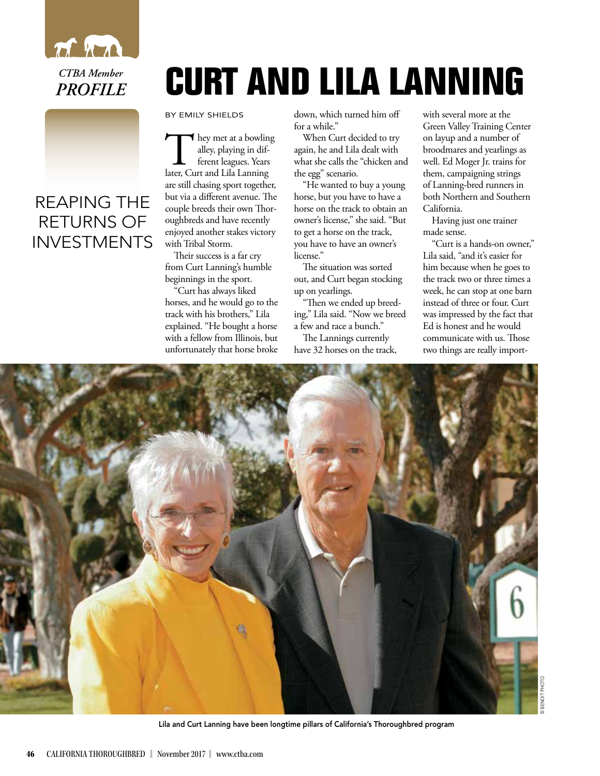

*CTBA Member PROFILE*

## REAPING THE RETURNS OF INVESTMENTS

## **CURT AND LILA LANNING**

BY EMILY SHIELDS

They met at a bowling<br>alley, playing in dif-<br>ferent leagues. Years<br>later, Curt and Lila Lanning alley, playing in different leagues. Years are still chasing sport together, but via a different avenue. The couple breeds their own Thoroughbreds and have recently enjoyed another stakes victory with Tribal Storm.

Their success is a far cry from Curt Lanning's humble beginnings in the sport.

"Curt has always liked horses, and he would go to the track with his brothers," Lila explained. "He bought a horse with a fellow from Illinois, but unfortunately that horse broke

down, which turned him off for a while."

When Curt decided to try again, he and Lila dealt with what she calls the "chicken and the egg" scenario.

"He wanted to buy a young horse, but you have to have a horse on the track to obtain an owner's license," she said. "But to get a horse on the track, you have to have an owner's license."

The situation was sorted out, and Curt began stocking up on yearlings.

"Then we ended up breeding," Lila said. "Now we breed a few and race a bunch."

The Lannings currently have 32 horses on the track, with several more at the Green Valley Training Center on layup and a number of broodmares and yearlings as well. Ed Moger Jr. trains for them, campaigning strings of Lanning-bred runners in both Northern and Southern California.

Having just one trainer made sense.

"Curt is a hands-on owner," Lila said, "and it's easier for him because when he goes to the track two or three times a week, he can stop at one barn instead of three or four. Curt was impressed by the fact that Ed is honest and he would communicate with us. Those two things are really import-



<sup>©</sup> BENOIT PHOTO

Lila and Curt Lanning have been longtime pillars of California's Thoroughbred program